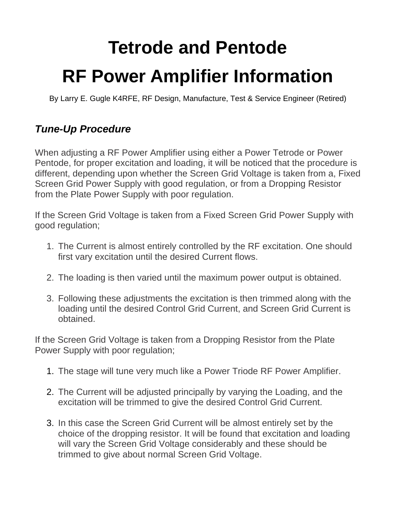## **Tetrode and Pentode RF Power Amplifier Information**

By Larry E. Gugle K4RFE, RF Design, Manufacture, Test & Service Engineer (Retired)

## *Tune-Up Procedure*

When adjusting a RF Power Amplifier using either a Power Tetrode or Power Pentode, for proper excitation and loading, it will be noticed that the procedure is different, depending upon whether the Screen Grid Voltage is taken from a, Fixed Screen Grid Power Supply with good regulation, or from a Dropping Resistor from the Plate Power Supply with poor regulation.

If the Screen Grid Voltage is taken from a Fixed Screen Grid Power Supply with good regulation;

- 1. The Current is almost entirely controlled by the RF excitation. One should first vary excitation until the desired Current flows.
- 2. The loading is then varied until the maximum power output is obtained.
- 3. Following these adjustments the excitation is then trimmed along with the loading until the desired Control Grid Current, and Screen Grid Current is obtained.

If the Screen Grid Voltage is taken from a Dropping Resistor from the Plate Power Supply with poor regulation;

- 1. The stage will tune very much like a Power Triode RF Power Amplifier.
- 2. The Current will be adjusted principally by varying the Loading, and the excitation will be trimmed to give the desired Control Grid Current.
- 3. In this case the Screen Grid Current will be almost entirely set by the choice of the dropping resistor. It will be found that excitation and loading will vary the Screen Grid Voltage considerably and these should be trimmed to give about normal Screen Grid Voltage.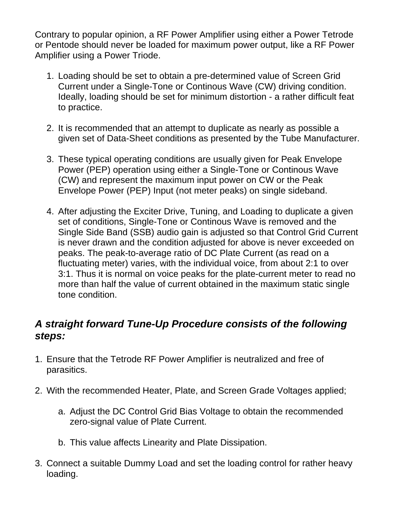Contrary to popular opinion, a RF Power Amplifier using either a Power Tetrode or Pentode should never be loaded for maximum power output, like a RF Power Amplifier using a Power Triode.

- 1. Loading should be set to obtain a pre-determined value of Screen Grid Current under a Single-Tone or Continous Wave (CW) driving condition. Ideally, loading should be set for minimum distortion - a rather difficult feat to practice.
- 2. It is recommended that an attempt to duplicate as nearly as possible a given set of Data-Sheet conditions as presented by the Tube Manufacturer.
- 3. These typical operating conditions are usually given for Peak Envelope Power (PEP) operation using either a Single-Tone or Continous Wave (CW) and represent the maximum input power on CW or the Peak Envelope Power (PEP) Input (not meter peaks) on single sideband.
- 4. After adjusting the Exciter Drive, Tuning, and Loading to duplicate a given set of conditions, Single-Tone or Continous Wave is removed and the Single Side Band (SSB) audio gain is adjusted so that Control Grid Current is never drawn and the condition adjusted for above is never exceeded on peaks. The peak-to-average ratio of DC Plate Current (as read on a fluctuating meter) varies, with the individual voice, from about 2:1 to over 3:1. Thus it is normal on voice peaks for the plate-current meter to read no more than half the value of current obtained in the maximum static single tone condition.

## *A straight forward Tune-Up Procedure consists of the following steps:*

- 1. Ensure that the Tetrode RF Power Amplifier is neutralized and free of parasitics.
- 2. With the recommended Heater, Plate, and Screen Grade Voltages applied;
	- a. Adjust the DC Control Grid Bias Voltage to obtain the recommended zero-signal value of Plate Current.
	- b. This value affects Linearity and Plate Dissipation.
- 3. Connect a suitable Dummy Load and set the loading control for rather heavy loading.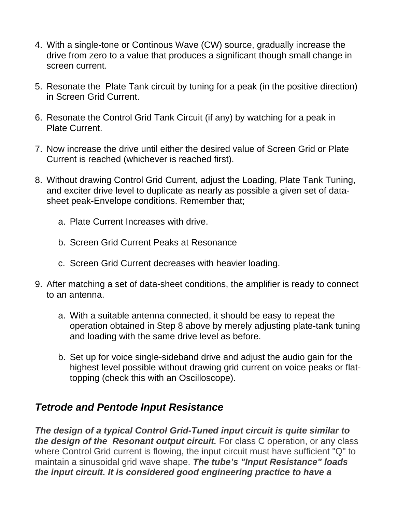- 4. With a single-tone or Continous Wave (CW) source, gradually increase the drive from zero to a value that produces a significant though small change in screen current.
- 5. Resonate the Plate Tank circuit by tuning for a peak (in the positive direction) in Screen Grid Current.
- 6. Resonate the Control Grid Tank Circuit (if any) by watching for a peak in Plate Current.
- 7. Now increase the drive until either the desired value of Screen Grid or Plate Current is reached (whichever is reached first).
- 8. Without drawing Control Grid Current, adjust the Loading, Plate Tank Tuning, and exciter drive level to duplicate as nearly as possible a given set of datasheet peak-Envelope conditions. Remember that;
	- a. Plate Current Increases with drive.
	- b. Screen Grid Current Peaks at Resonance
	- c. Screen Grid Current decreases with heavier loading.
- 9. After matching a set of data-sheet conditions, the amplifier is ready to connect to an antenna.
	- a. With a suitable antenna connected, it should be easy to repeat the operation obtained in Step 8 above by merely adjusting plate-tank tuning and loading with the same drive level as before.
	- b. Set up for voice single-sideband drive and adjust the audio gain for the highest level possible without drawing grid current on voice peaks or flattopping (check this with an Oscilloscope).

## *Tetrode and Pentode Input Resistance*

*The design of a typical Control Grid-Tuned input circuit is quite similar to the design of the Resonant output circuit.* For class C operation, or any class where Control Grid current is flowing, the input circuit must have sufficient "Q" to maintain a sinusoidal grid wave shape. *The tube's "Input Resistance" loads the input circuit. It is considered good engineering practice to have a*